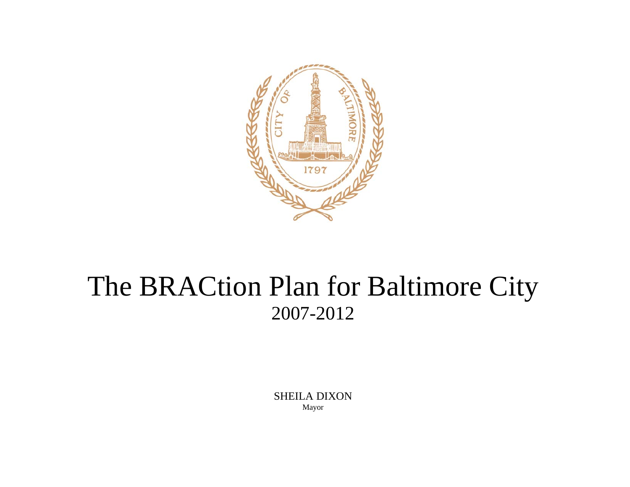

# The BRACtion Plan for Baltimore City 2007-2012

SHEILA DIXON Mayor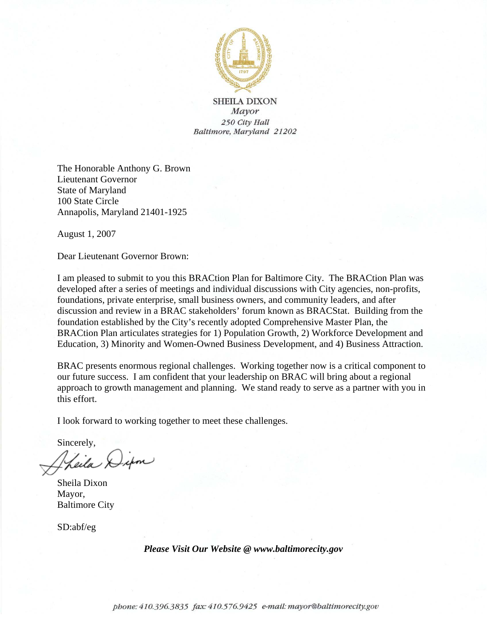

**SHEILA DIXON** Mayor 250 City Hall Baltimore, Maryland 21202

The Honorable Anthony G. Brown Lieutenant Governor State of Maryland 100 State Circle Annapolis, Maryland 21401-1925

August 1, 2007

Dear Lieutenant Governor Brown:

I am pleased to submit to you this BRACtion Plan for Baltimore City. The BRACtion Plan was developed after a series of meetings and individual discussions with City agencies, non-profits, foundations, private enterprise, small business owners, and community leaders, and after discussion and review in a BRAC stakeholders' forum known as BRACStat. Building from the foundation established by the City's recently adopted Comprehensive Master Plan, the BRACtion Plan articulates strategies for 1) Population Growth, 2) Workforce Development and Education, 3) Minority and Women-Owned Business Development, and 4) Business Attraction.

BRAC presents enormous regional challenges. Working together now is a critical component to our future success. I am confident that your leadership on BRAC will bring about a regional approach to growth management and planning. We stand ready to serve as a partner with you in this effort.

I look forward to working together to meet these challenges.

Sincerely, Theila Difon

Sheila Dixon Mayor, Baltimore City

SD:abf/eg

*Please Visit Our Website @ www.baltimorecity.gov*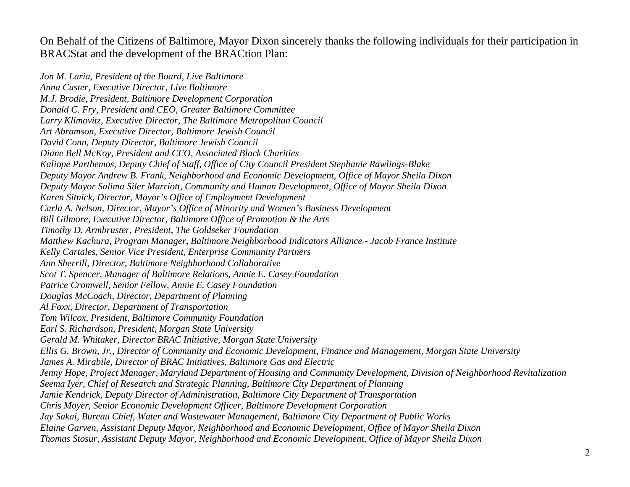On Behalf of the Citizens of Baltimore, Mayor Dixon sincerely thanks the following individuals for their participation in BRACStat and the development of the BRACtion Plan:

*Jon M. Laria, President of the Board, Live Baltimore Anna Custer, Executive Director, Live Baltimore M.J. Brodie, President, Baltimore Development Corporation Donald C. Fry, President and CEO, Greater Baltimore Committee Larry Klimovitz, Executive Director, The Baltimore Metropolitan Council Art Abramson, Executive Director, Baltimore Jewish Council David Conn, Deputy Director, Baltimore Jewish Council Diane Bell McKoy, President and CEO, Associated Black Charities Kaliope Parthemos, Deputy Chief of Staff, Office of City Council President Stephanie Rawlings-Blake Deputy Mayor Andrew B. Frank, Neighborhood and Economic Development, Office of Mayor Sheila Dixon Deputy Mayor Salima Siler Marriott, Community and Human Development, Office of Mayor Sheila Dixon Karen Sitnick, Director, Mayor's Office of Employment Development Carla A. Nelson, Director, Mayor's Office of Minority and Women's Business Development Bill Gilmore, Executive Director, Baltimore Office of Promotion & the Arts Timothy D. Armbruster, President, The Goldseker Foundation Matthew Kachura, Program Manager, Baltimore Neighborhood Indicators Alliance - Jacob France Institute Kelly Cartales, Senior Vice President, Enterprise Community Partners Ann Sherrill, Director, Baltimore Neighborhood Collaborative Scot T. Spencer, Manager of Baltimore Relations, Annie E. Casey Foundation Patrice Cromwell, Senior Fellow, Annie E. Casey Foundation Douglas McCoach, Director, Department of Planning Al Foxx, Director, Department of Transportation Tom Wilcox, President, Baltimore Community Foundation Earl S. Richardson, President, Morgan State University Gerald M. Whitaker, Director BRAC Initiative, Morgan State University Ellis G. Brown, Jr., Director of Community and Economic Development, Finance and Management, Morgan State University James A. Mirabile, Director of BRAC Initiatives, Baltimore Gas and Electric Jenny Hope, Project Manager, Maryland Department of Housing and Community Development, Division of Neighborhood Revitalization Seema Iyer, Chief of Research and Strategic Planning, Baltimore City Department of Planning Jamie Kendrick, Deputy Director of Administration, Baltimore City Department of Transportation Chris Moyer, Senior Economic Development Officer, Baltimore Development Corporation Jay Sakai, Bureau Chief, Water and Wastewater Management, Baltimore City Department of Public Works Elaine Garven, Assistant Deputy Mayor, Neighborhood and Economic Development, Office of Mayor Sheila Dixon Thomas Stosur, Assistant Deputy Mayor, Neighborhood and Economic Development, Office of Mayor Sheila Dixon*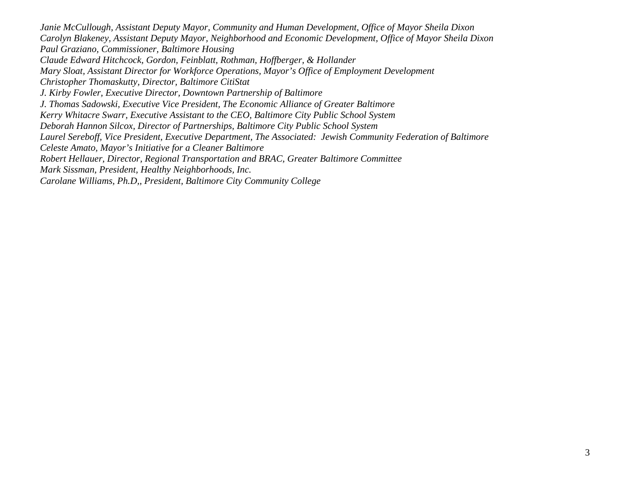*Janie McCullough, Assistant Deputy Mayor, Community and Human Development, Office of Mayor Sheila Dixon Carolyn Blakeney, Assistant Deputy Mayor, Neighborhood and Economic Development, Office of Mayor Sheila Dixon Paul Graziano, Commissioner, Baltimore Housing Claude Edward Hitchcock, Gordon, Feinblatt, Rothman, Hoffberger, & Hollander Mary Sloat, Assistant Director for Workforce Operations, Mayor's Office of Employment Development Christopher Thomaskutty, Director, Baltimore CitiStat J. Kirby Fowler, Executive Director, Downtown Partnership of Baltimore J. Thomas Sadowski, Executive Vice President, The Economic Alliance of Greater Baltimore Kerry Whitacre Swarr, Executive Assistant to the CEO, Baltimore City Public School System Deborah Hannon Silcox, Director of Partnerships, Baltimore City Public School System Laurel Sereboff, Vice President, Executive Department, The Associated: Jewish Community Federation of Baltimore Celeste Amato, Mayor's Initiative for a Cleaner Baltimore Robert Hellauer, Director, Regional Transportation and BRAC, Greater Baltimore Committee Mark Sissman, President, Healthy Neighborhoods, Inc. Carolane Williams, Ph.D,, President, Baltimore City Community College*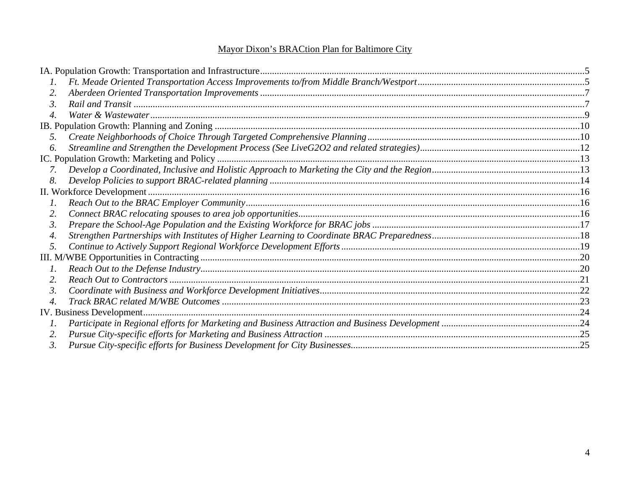#### Mayor Dixon's BRACtion Plan for Baltimore City

| 2.            |  |
|---------------|--|
| $\mathcal{E}$ |  |
|               |  |
|               |  |
| 5.            |  |
| 6.            |  |
|               |  |
| 7.            |  |
| 8.            |  |
|               |  |
| $\Gamma$ .    |  |
| 2.            |  |
| 3.            |  |
| 4.            |  |
| 5.            |  |
|               |  |
| $\Gamma$ .    |  |
| 2.            |  |
| 3.            |  |
| 4.            |  |
|               |  |
|               |  |
| 2.            |  |
| 3.            |  |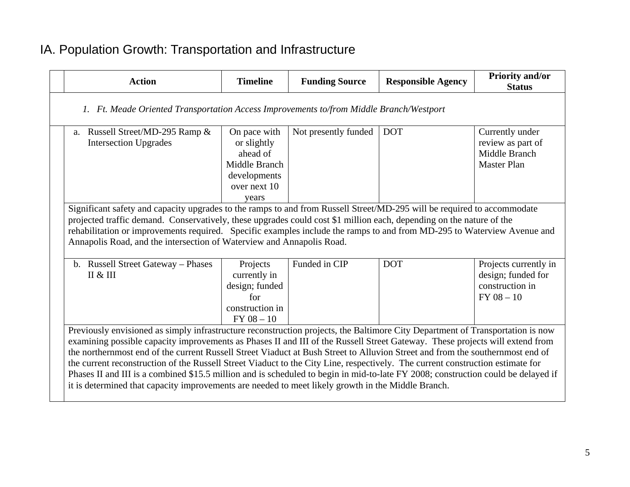## IA. Population Growth: Transportation and Infrastructure

| <b>Action</b>                                                                                                                                                                                                                                                                                                                                                                                                                                                                                                                                                                                                                                                                                                                                                                | <b>Timeline</b>                                                                                   | <b>Funding Source</b> | <b>Responsible Agency</b> | <b>Priority and/or</b><br><b>Status</b>                                         |  |  |  |
|------------------------------------------------------------------------------------------------------------------------------------------------------------------------------------------------------------------------------------------------------------------------------------------------------------------------------------------------------------------------------------------------------------------------------------------------------------------------------------------------------------------------------------------------------------------------------------------------------------------------------------------------------------------------------------------------------------------------------------------------------------------------------|---------------------------------------------------------------------------------------------------|-----------------------|---------------------------|---------------------------------------------------------------------------------|--|--|--|
| 1. Ft. Meade Oriented Transportation Access Improvements to/from Middle Branch/Westport                                                                                                                                                                                                                                                                                                                                                                                                                                                                                                                                                                                                                                                                                      |                                                                                                   |                       |                           |                                                                                 |  |  |  |
| a. Russell Street/MD-295 Ramp &<br><b>Intersection Upgrades</b>                                                                                                                                                                                                                                                                                                                                                                                                                                                                                                                                                                                                                                                                                                              | On pace with<br>or slightly<br>ahead of<br>Middle Branch<br>developments<br>over next 10<br>vears | Not presently funded  | <b>DOT</b>                | Currently under<br>review as part of<br>Middle Branch<br><b>Master Plan</b>     |  |  |  |
| Significant safety and capacity upgrades to the ramps to and from Russell Street/MD-295 will be required to accommodate<br>projected traffic demand. Conservatively, these upgrades could cost \$1 million each, depending on the nature of the<br>rehabilitation or improvements required. Specific examples include the ramps to and from MD-295 to Waterview Avenue and<br>Annapolis Road, and the intersection of Waterview and Annapolis Road.                                                                                                                                                                                                                                                                                                                          |                                                                                                   |                       |                           |                                                                                 |  |  |  |
| b. Russell Street Gateway - Phases<br>II & II                                                                                                                                                                                                                                                                                                                                                                                                                                                                                                                                                                                                                                                                                                                                | Projects<br>currently in<br>design; funded<br>for<br>construction in<br>$FY$ 08 $-10$             | Funded in CIP         | <b>DOT</b>                | Projects currently in<br>design; funded for<br>construction in<br>$FY$ 08 $-10$ |  |  |  |
| Previously envisioned as simply infrastructure reconstruction projects, the Baltimore City Department of Transportation is now<br>examining possible capacity improvements as Phases II and III of the Russell Street Gateway. These projects will extend from<br>the northernmost end of the current Russell Street Viaduct at Bush Street to Alluvion Street and from the southernmost end of<br>the current reconstruction of the Russell Street Viaduct to the City Line, respectively. The current construction estimate for<br>Phases II and III is a combined \$15.5 million and is scheduled to begin in mid-to-late FY 2008; construction could be delayed if<br>it is determined that capacity improvements are needed to meet likely growth in the Middle Branch. |                                                                                                   |                       |                           |                                                                                 |  |  |  |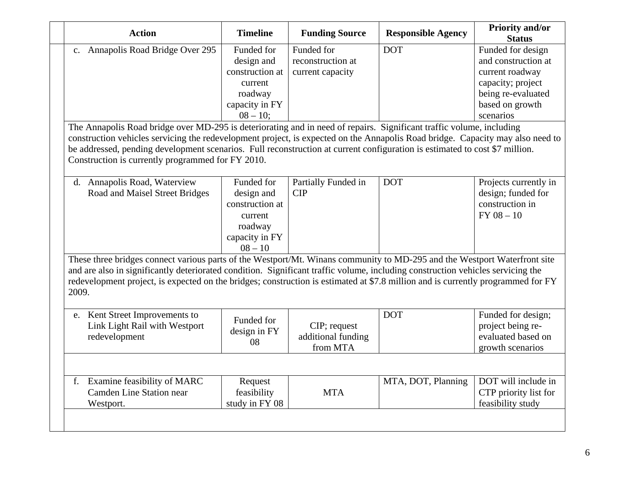| <b>Action</b>                                                                                                                                                                                                                                                                                                                                                                                             | <b>Timeline</b>    | <b>Funding Source</b> | <b>Responsible Agency</b> | <b>Priority and/or</b><br><b>Status</b> |
|-----------------------------------------------------------------------------------------------------------------------------------------------------------------------------------------------------------------------------------------------------------------------------------------------------------------------------------------------------------------------------------------------------------|--------------------|-----------------------|---------------------------|-----------------------------------------|
| c. Annapolis Road Bridge Over 295                                                                                                                                                                                                                                                                                                                                                                         | Funded for         | Funded for            | <b>DOT</b>                | Funded for design                       |
|                                                                                                                                                                                                                                                                                                                                                                                                           | design and         | reconstruction at     |                           | and construction at                     |
|                                                                                                                                                                                                                                                                                                                                                                                                           | construction at    | current capacity      |                           | current roadway                         |
|                                                                                                                                                                                                                                                                                                                                                                                                           | current            |                       |                           | capacity; project                       |
|                                                                                                                                                                                                                                                                                                                                                                                                           | roadway            |                       |                           | being re-evaluated                      |
|                                                                                                                                                                                                                                                                                                                                                                                                           | capacity in FY     |                       |                           | based on growth                         |
|                                                                                                                                                                                                                                                                                                                                                                                                           | $08 - 10$ ;        |                       |                           | scenarios                               |
| The Annapolis Road bridge over MD-295 is deteriorating and in need of repairs. Significant traffic volume, including                                                                                                                                                                                                                                                                                      |                    |                       |                           |                                         |
| construction vehicles servicing the redevelopment project, is expected on the Annapolis Road bridge. Capacity may also need to                                                                                                                                                                                                                                                                            |                    |                       |                           |                                         |
| be addressed, pending development scenarios. Full reconstruction at current configuration is estimated to cost \$7 million.                                                                                                                                                                                                                                                                               |                    |                       |                           |                                         |
| Construction is currently programmed for FY 2010.                                                                                                                                                                                                                                                                                                                                                         |                    |                       |                           |                                         |
|                                                                                                                                                                                                                                                                                                                                                                                                           |                    |                       |                           |                                         |
| d. Annapolis Road, Waterview                                                                                                                                                                                                                                                                                                                                                                              | Funded for         | Partially Funded in   | <b>DOT</b>                | Projects currently in                   |
| Road and Maisel Street Bridges                                                                                                                                                                                                                                                                                                                                                                            | design and         | <b>CIP</b>            |                           | design; funded for                      |
|                                                                                                                                                                                                                                                                                                                                                                                                           | construction at    |                       |                           | construction in                         |
|                                                                                                                                                                                                                                                                                                                                                                                                           | current            |                       |                           | $FY$ 08 - 10                            |
|                                                                                                                                                                                                                                                                                                                                                                                                           | roadway            |                       |                           |                                         |
|                                                                                                                                                                                                                                                                                                                                                                                                           | capacity in FY     |                       |                           |                                         |
|                                                                                                                                                                                                                                                                                                                                                                                                           | $08 - 10$          |                       |                           |                                         |
| These three bridges connect various parts of the Westport/Mt. Winans community to MD-295 and the Westport Waterfront site<br>and are also in significantly deteriorated condition. Significant traffic volume, including construction vehicles servicing the<br>redevelopment project, is expected on the bridges; construction is estimated at \$7.8 million and is currently programmed for FY<br>2009. |                    |                       |                           |                                         |
| e. Kent Street Improvements to                                                                                                                                                                                                                                                                                                                                                                            | Funded for         |                       | <b>DOT</b>                | Funded for design;                      |
| Link Light Rail with Westport                                                                                                                                                                                                                                                                                                                                                                             |                    | CIP; request          |                           | project being re-                       |
| redevelopment                                                                                                                                                                                                                                                                                                                                                                                             | design in FY<br>08 | additional funding    |                           | evaluated based on                      |
|                                                                                                                                                                                                                                                                                                                                                                                                           |                    | from MTA              |                           | growth scenarios                        |
|                                                                                                                                                                                                                                                                                                                                                                                                           |                    |                       |                           |                                         |
| f. Examine feasibility of MARC                                                                                                                                                                                                                                                                                                                                                                            | Request            |                       | MTA, DOT, Planning        | DOT will include in                     |
| Camden Line Station near                                                                                                                                                                                                                                                                                                                                                                                  | feasibility        | <b>MTA</b>            |                           | CTP priority list for                   |
| Westport.                                                                                                                                                                                                                                                                                                                                                                                                 | study in FY 08     |                       |                           | feasibility study                       |
|                                                                                                                                                                                                                                                                                                                                                                                                           |                    |                       |                           |                                         |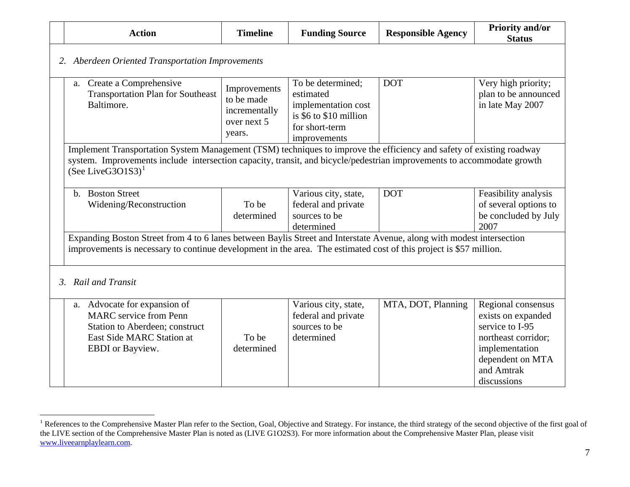| <b>Action</b>                                                                                                                                                                                                                                                          | <b>Timeline</b>                                                      | <b>Funding Source</b>                                                                                             | <b>Responsible Agency</b> | <b>Priority and/or</b><br><b>Status</b>                                                                                  |
|------------------------------------------------------------------------------------------------------------------------------------------------------------------------------------------------------------------------------------------------------------------------|----------------------------------------------------------------------|-------------------------------------------------------------------------------------------------------------------|---------------------------|--------------------------------------------------------------------------------------------------------------------------|
| 2. Aberdeen Oriented Transportation Improvements                                                                                                                                                                                                                       |                                                                      |                                                                                                                   |                           |                                                                                                                          |
| Create a Comprehensive<br>a.<br><b>Transportation Plan for Southeast</b><br>Baltimore.                                                                                                                                                                                 | Improvements<br>to be made<br>incrementally<br>over next 5<br>years. | To be determined;<br>estimated<br>implementation cost<br>is \$6 to \$10 million<br>for short-term<br>improvements | <b>DOT</b>                | Very high priority;<br>plan to be announced<br>in late May 2007                                                          |
| Implement Transportation System Management (TSM) techniques to improve the efficiency and safety of existing roadway<br>system. Improvements include intersection capacity, transit, and bicycle/pedestrian improvements to accommodate growth<br>$(See LiveG3O1S3)^1$ |                                                                      |                                                                                                                   |                           |                                                                                                                          |
| b. Boston Street<br>Widening/Reconstruction                                                                                                                                                                                                                            | To be<br>determined                                                  | Various city, state,<br>federal and private<br>sources to be<br>determined                                        | <b>DOT</b>                | Feasibility analysis<br>of several options to<br>be concluded by July<br>2007                                            |
| Expanding Boston Street from 4 to 6 lanes between Baylis Street and Interstate Avenue, along with modest intersection<br>improvements is necessary to continue development in the area. The estimated cost of this project is \$57 million.                            |                                                                      |                                                                                                                   |                           |                                                                                                                          |
| 3. Rail and Transit                                                                                                                                                                                                                                                    |                                                                      |                                                                                                                   |                           |                                                                                                                          |
| a. Advocate for expansion of<br><b>MARC</b> service from Penn<br>Station to Aberdeen; construct<br>East Side MARC Station at<br>EBDI or Bayview.                                                                                                                       | To be<br>determined                                                  | Various city, state,<br>federal and private<br>sources to be<br>determined                                        | MTA, DOT, Planning        | Regional consensus<br>exists on expanded<br>service to I-95<br>northeast corridor;<br>implementation<br>dependent on MTA |

<span id="page-7-0"></span><sup>&</sup>lt;sup>1</sup> References to the Comprehensive Master Plan refer to the Section, Goal, Objective and Strategy. For instance, the third strategy of the second objective of the first goal of the LIVE section of the Comprehensive Master Plan is noted as (LIVE G1O2S3). For more information about the Comprehensive Master Plan, please visit [www.liveearnplaylearn.com](http://www.liveearnplaylearn.com/).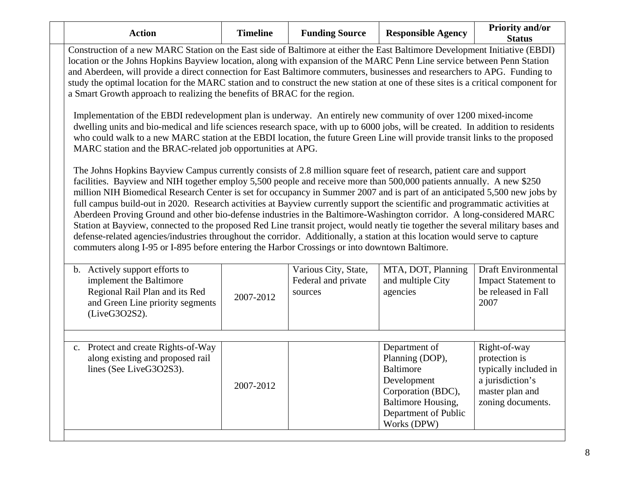| <b>Action</b>                                                                                                                                                                                                                                                                                                                                                                                                                                                                                                                                                                                           | <b>Timeline</b>                                                                                                                                                                                                                                                                                                                                                                                                                                                                                                                                                                                                                                                                                                                                                                                                                                                                                                                                                                                                                                                                                                                                                                                                                                                                                                                                                                                                                                                 | <b>Funding Source</b>                                  | <b>Responsible Agency</b>                                                                                                             | <b>Priority and/or</b><br><b>Status</b>                                                            |  |  |  |
|---------------------------------------------------------------------------------------------------------------------------------------------------------------------------------------------------------------------------------------------------------------------------------------------------------------------------------------------------------------------------------------------------------------------------------------------------------------------------------------------------------------------------------------------------------------------------------------------------------|-----------------------------------------------------------------------------------------------------------------------------------------------------------------------------------------------------------------------------------------------------------------------------------------------------------------------------------------------------------------------------------------------------------------------------------------------------------------------------------------------------------------------------------------------------------------------------------------------------------------------------------------------------------------------------------------------------------------------------------------------------------------------------------------------------------------------------------------------------------------------------------------------------------------------------------------------------------------------------------------------------------------------------------------------------------------------------------------------------------------------------------------------------------------------------------------------------------------------------------------------------------------------------------------------------------------------------------------------------------------------------------------------------------------------------------------------------------------|--------------------------------------------------------|---------------------------------------------------------------------------------------------------------------------------------------|----------------------------------------------------------------------------------------------------|--|--|--|
| Construction of a new MARC Station on the East side of Baltimore at either the East Baltimore Development Initiative (EBDI)<br>location or the Johns Hopkins Bayview location, along with expansion of the MARC Penn Line service between Penn Station<br>and Aberdeen, will provide a direct connection for East Baltimore commuters, businesses and researchers to APG. Funding to<br>study the optimal location for the MARC station and to construct the new station at one of these sites is a critical component for<br>a Smart Growth approach to realizing the benefits of BRAC for the region. |                                                                                                                                                                                                                                                                                                                                                                                                                                                                                                                                                                                                                                                                                                                                                                                                                                                                                                                                                                                                                                                                                                                                                                                                                                                                                                                                                                                                                                                                 |                                                        |                                                                                                                                       |                                                                                                    |  |  |  |
|                                                                                                                                                                                                                                                                                                                                                                                                                                                                                                                                                                                                         | Implementation of the EBDI redevelopment plan is underway. An entirely new community of over 1200 mixed-income<br>dwelling units and bio-medical and life sciences research space, with up to 6000 jobs, will be created. In addition to residents<br>who could walk to a new MARC station at the EBDI location, the future Green Line will provide transit links to the proposed<br>MARC station and the BRAC-related job opportunities at APG.<br>The Johns Hopkins Bayview Campus currently consists of 2.8 million square feet of research, patient care and support<br>facilities. Bayview and NIH together employ 5,500 people and receive more than 500,000 patients annually. A new \$250<br>million NIH Biomedical Research Center is set for occupancy in Summer 2007 and is part of an anticipated 5,500 new jobs by<br>full campus build-out in 2020. Research activities at Bayview currently support the scientific and programmatic activities at<br>Aberdeen Proving Ground and other bio-defense industries in the Baltimore-Washington corridor. A long-considered MARC<br>Station at Bayview, connected to the proposed Red Line transit project, would neatly tie together the several military bases and<br>defense-related agencies/industries throughout the corridor. Additionally, a station at this location would serve to capture<br>commuters along I-95 or I-895 before entering the Harbor Crossings or into downtown Baltimore. |                                                        |                                                                                                                                       |                                                                                                    |  |  |  |
|                                                                                                                                                                                                                                                                                                                                                                                                                                                                                                                                                                                                         |                                                                                                                                                                                                                                                                                                                                                                                                                                                                                                                                                                                                                                                                                                                                                                                                                                                                                                                                                                                                                                                                                                                                                                                                                                                                                                                                                                                                                                                                 |                                                        |                                                                                                                                       |                                                                                                    |  |  |  |
| b. Actively support efforts to<br>implement the Baltimore<br>Regional Rail Plan and its Red<br>and Green Line priority segments<br>(LiveG3O2S2).                                                                                                                                                                                                                                                                                                                                                                                                                                                        | 2007-2012                                                                                                                                                                                                                                                                                                                                                                                                                                                                                                                                                                                                                                                                                                                                                                                                                                                                                                                                                                                                                                                                                                                                                                                                                                                                                                                                                                                                                                                       | Various City, State,<br>Federal and private<br>sources | MTA, DOT, Planning<br>and multiple City<br>agencies                                                                                   | <b>Draft Environmental</b><br><b>Impact Statement to</b><br>be released in Fall<br>2007            |  |  |  |
| c. Protect and create Rights-of-Way                                                                                                                                                                                                                                                                                                                                                                                                                                                                                                                                                                     |                                                                                                                                                                                                                                                                                                                                                                                                                                                                                                                                                                                                                                                                                                                                                                                                                                                                                                                                                                                                                                                                                                                                                                                                                                                                                                                                                                                                                                                                 |                                                        | Department of                                                                                                                         | Right-of-way                                                                                       |  |  |  |
| along existing and proposed rail<br>lines (See LiveG3O2S3).                                                                                                                                                                                                                                                                                                                                                                                                                                                                                                                                             | 2007-2012                                                                                                                                                                                                                                                                                                                                                                                                                                                                                                                                                                                                                                                                                                                                                                                                                                                                                                                                                                                                                                                                                                                                                                                                                                                                                                                                                                                                                                                       |                                                        | Planning (DOP),<br><b>Baltimore</b><br>Development<br>Corporation (BDC),<br>Baltimore Housing,<br>Department of Public<br>Works (DPW) | protection is<br>typically included in<br>a jurisdiction's<br>master plan and<br>zoning documents. |  |  |  |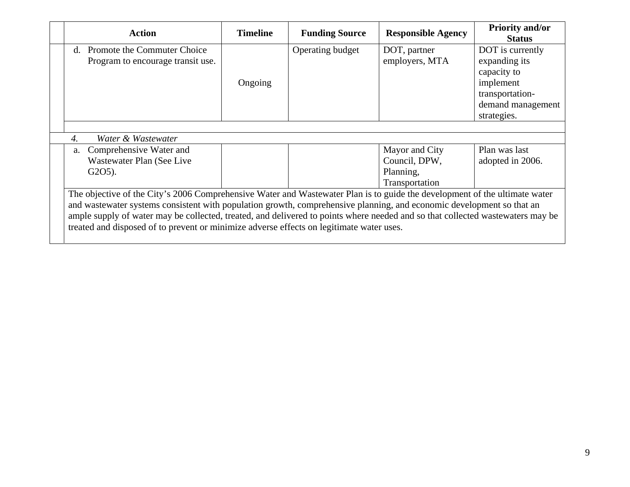| <b>Action</b>                                                                                                                  | <b>Timeline</b> | <b>Funding Source</b> | <b>Responsible Agency</b> | <b>Priority and/or</b><br><b>Status</b> |  |  |  |
|--------------------------------------------------------------------------------------------------------------------------------|-----------------|-----------------------|---------------------------|-----------------------------------------|--|--|--|
| Promote the Commuter Choice<br>$d_{-}$                                                                                         |                 | Operating budget      | DOT, partner              | DOT is currently                        |  |  |  |
| Program to encourage transit use.                                                                                              |                 |                       | employers, MTA            | expanding its                           |  |  |  |
|                                                                                                                                |                 |                       |                           | capacity to                             |  |  |  |
|                                                                                                                                | Ongoing         |                       |                           | implement                               |  |  |  |
|                                                                                                                                |                 |                       |                           | transportation-                         |  |  |  |
|                                                                                                                                |                 |                       |                           | demand management                       |  |  |  |
|                                                                                                                                |                 |                       |                           | strategies.                             |  |  |  |
|                                                                                                                                |                 |                       |                           |                                         |  |  |  |
| Water & Wastewater<br>4.                                                                                                       |                 |                       |                           |                                         |  |  |  |
| Comprehensive Water and<br>a.                                                                                                  |                 |                       | Mayor and City            | Plan was last                           |  |  |  |
| Wastewater Plan (See Live                                                                                                      |                 |                       | Council, DPW,             | adopted in 2006.                        |  |  |  |
| $G2O5$ ).                                                                                                                      |                 |                       | Planning,                 |                                         |  |  |  |
|                                                                                                                                |                 |                       | Transportation            |                                         |  |  |  |
| The objective of the City's 2006 Comprehensive Water and Wastewater Plan is to guide the development of the ultimate water     |                 |                       |                           |                                         |  |  |  |
| and wastewater systems consistent with population growth, comprehensive planning, and economic development so that an          |                 |                       |                           |                                         |  |  |  |
| ample supply of water may be collected, treated, and delivered to points where needed and so that collected wastewaters may be |                 |                       |                           |                                         |  |  |  |
| treated and disposed of to prevent or minimize adverse effects on legitimate water uses.                                       |                 |                       |                           |                                         |  |  |  |
|                                                                                                                                |                 |                       |                           |                                         |  |  |  |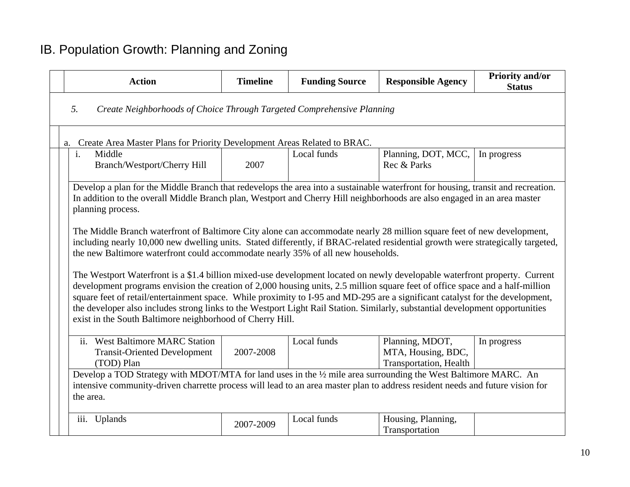# IB. Population Growth: Planning and Zoning

| <b>Action</b>                                                                                                                                                                                                                                                                                                                                                                                                                                                                                                                                                                              | <b>Timeline</b> | <b>Funding Source</b> | <b>Responsible Agency</b>                                       | <b>Priority and/or</b><br><b>Status</b> |  |  |  |  |
|--------------------------------------------------------------------------------------------------------------------------------------------------------------------------------------------------------------------------------------------------------------------------------------------------------------------------------------------------------------------------------------------------------------------------------------------------------------------------------------------------------------------------------------------------------------------------------------------|-----------------|-----------------------|-----------------------------------------------------------------|-----------------------------------------|--|--|--|--|
| 5.<br>Create Neighborhoods of Choice Through Targeted Comprehensive Planning                                                                                                                                                                                                                                                                                                                                                                                                                                                                                                               |                 |                       |                                                                 |                                         |  |  |  |  |
| Create Area Master Plans for Priority Development Areas Related to BRAC.<br>a.                                                                                                                                                                                                                                                                                                                                                                                                                                                                                                             |                 |                       |                                                                 |                                         |  |  |  |  |
| Middle<br>$\mathbf{i}$ .<br><b>Branch/Westport/Cherry Hill</b>                                                                                                                                                                                                                                                                                                                                                                                                                                                                                                                             | 2007            | Local funds           | Planning, DOT, MCC,<br>Rec & Parks                              | In progress                             |  |  |  |  |
| Develop a plan for the Middle Branch that redevelops the area into a sustainable waterfront for housing, transit and recreation.<br>In addition to the overall Middle Branch plan, Westport and Cherry Hill neighborhoods are also engaged in an area master<br>planning process.                                                                                                                                                                                                                                                                                                          |                 |                       |                                                                 |                                         |  |  |  |  |
| The Middle Branch waterfront of Baltimore City alone can accommodate nearly 28 million square feet of new development,<br>including nearly 10,000 new dwelling units. Stated differently, if BRAC-related residential growth were strategically targeted,<br>the new Baltimore waterfront could accommodate nearly 35% of all new households.                                                                                                                                                                                                                                              |                 |                       |                                                                 |                                         |  |  |  |  |
| The Westport Waterfront is a \$1.4 billion mixed-use development located on newly developable waterfront property. Current<br>development programs envision the creation of 2,000 housing units, 2.5 million square feet of office space and a half-million<br>square feet of retail/entertainment space. While proximity to I-95 and MD-295 are a significant catalyst for the development,<br>the developer also includes strong links to the Westport Light Rail Station. Similarly, substantial development opportunities<br>exist in the South Baltimore neighborhood of Cherry Hill. |                 |                       |                                                                 |                                         |  |  |  |  |
| ii. West Baltimore MARC Station<br><b>Transit-Oriented Development</b><br>(TOD) Plan                                                                                                                                                                                                                                                                                                                                                                                                                                                                                                       | 2007-2008       | Local funds           | Planning, MDOT,<br>MTA, Housing, BDC,<br>Transportation, Health | In progress                             |  |  |  |  |
| Develop a TOD Strategy with MDOT/MTA for land uses in the 1/2 mile area surrounding the West Baltimore MARC. An<br>intensive community-driven charrette process will lead to an area master plan to address resident needs and future vision for<br>the area.                                                                                                                                                                                                                                                                                                                              |                 |                       |                                                                 |                                         |  |  |  |  |
| iii. Uplands                                                                                                                                                                                                                                                                                                                                                                                                                                                                                                                                                                               | 2007-2009       | Local funds           | Housing, Planning,<br>Transportation                            |                                         |  |  |  |  |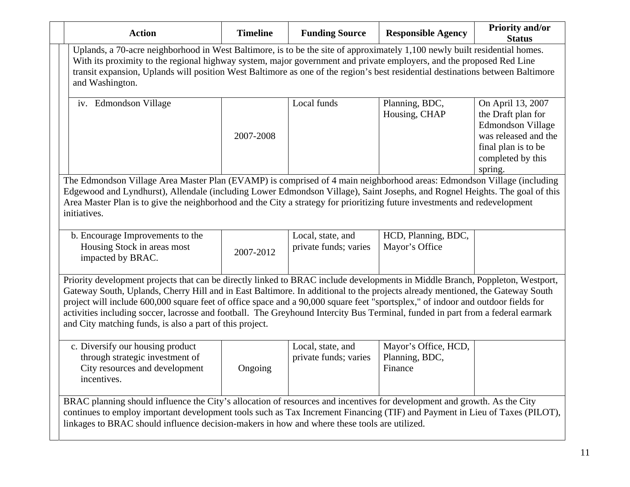| <b>Action</b>                                                                                                                                                                                                                                                                                                                                                                                                                                                                                                                                                                                     | <b>Timeline</b> | <b>Funding Source</b>                      | <b>Responsible Agency</b>                         | <b>Priority and/or</b><br><b>Status</b>                                                                                                            |  |  |
|---------------------------------------------------------------------------------------------------------------------------------------------------------------------------------------------------------------------------------------------------------------------------------------------------------------------------------------------------------------------------------------------------------------------------------------------------------------------------------------------------------------------------------------------------------------------------------------------------|-----------------|--------------------------------------------|---------------------------------------------------|----------------------------------------------------------------------------------------------------------------------------------------------------|--|--|
| Uplands, a 70-acre neighborhood in West Baltimore, is to be the site of approximately 1,100 newly built residential homes.<br>With its proximity to the regional highway system, major government and private employers, and the proposed Red Line<br>transit expansion, Uplands will position West Baltimore as one of the region's best residential destinations between Baltimore<br>and Washington.                                                                                                                                                                                           |                 |                                            |                                                   |                                                                                                                                                    |  |  |
| iv. Edmondson Village                                                                                                                                                                                                                                                                                                                                                                                                                                                                                                                                                                             | 2007-2008       | Local funds                                | Planning, BDC,<br>Housing, CHAP                   | On April 13, 2007<br>the Draft plan for<br><b>Edmondson Village</b><br>was released and the<br>final plan is to be<br>completed by this<br>spring. |  |  |
| The Edmondson Village Area Master Plan (EVAMP) is comprised of 4 main neighborhood areas: Edmondson Village (including<br>Edgewood and Lyndhurst), Allendale (including Lower Edmondson Village), Saint Josephs, and Rognel Heights. The goal of this<br>Area Master Plan is to give the neighborhood and the City a strategy for prioritizing future investments and redevelopment<br>initiatives.                                                                                                                                                                                               |                 |                                            |                                                   |                                                                                                                                                    |  |  |
| b. Encourage Improvements to the<br>Housing Stock in areas most<br>impacted by BRAC.                                                                                                                                                                                                                                                                                                                                                                                                                                                                                                              | 2007-2012       | Local, state, and<br>private funds; varies | HCD, Planning, BDC,<br>Mayor's Office             |                                                                                                                                                    |  |  |
| Priority development projects that can be directly linked to BRAC include developments in Middle Branch, Poppleton, Westport,<br>Gateway South, Uplands, Cherry Hill and in East Baltimore. In additional to the projects already mentioned, the Gateway South<br>project will include 600,000 square feet of office space and a 90,000 square feet "sportsplex," of indoor and outdoor fields for<br>activities including soccer, lacrosse and football. The Greyhound Intercity Bus Terminal, funded in part from a federal earmark<br>and City matching funds, is also a part of this project. |                 |                                            |                                                   |                                                                                                                                                    |  |  |
| c. Diversify our housing product<br>through strategic investment of<br>City resources and development<br>incentives.                                                                                                                                                                                                                                                                                                                                                                                                                                                                              | Ongoing         | Local, state, and<br>private funds; varies | Mayor's Office, HCD,<br>Planning, BDC,<br>Finance |                                                                                                                                                    |  |  |
| BRAC planning should influence the City's allocation of resources and incentives for development and growth. As the City<br>continues to employ important development tools such as Tax Increment Financing (TIF) and Payment in Lieu of Taxes (PILOT),<br>linkages to BRAC should influence decision-makers in how and where these tools are utilized.                                                                                                                                                                                                                                           |                 |                                            |                                                   |                                                                                                                                                    |  |  |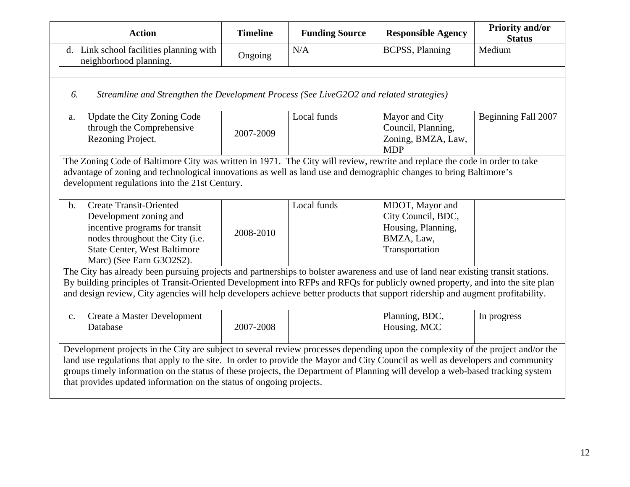|                | <b>Action</b>                                                                                                                                                                                                                                                                                                                                                                                                                                                                 | <b>Timeline</b> | <b>Funding Source</b> | <b>Responsible Agency</b>                                                                   | <b>Priority and/or</b><br><b>Status</b> |  |  |
|----------------|-------------------------------------------------------------------------------------------------------------------------------------------------------------------------------------------------------------------------------------------------------------------------------------------------------------------------------------------------------------------------------------------------------------------------------------------------------------------------------|-----------------|-----------------------|---------------------------------------------------------------------------------------------|-----------------------------------------|--|--|
|                | d. Link school facilities planning with<br>neighborhood planning.                                                                                                                                                                                                                                                                                                                                                                                                             | Ongoing         | N/A                   | <b>BCPSS</b> , Planning                                                                     | Medium                                  |  |  |
|                |                                                                                                                                                                                                                                                                                                                                                                                                                                                                               |                 |                       |                                                                                             |                                         |  |  |
| 6.             | Streamline and Strengthen the Development Process (See LiveG2O2 and related strategies)                                                                                                                                                                                                                                                                                                                                                                                       |                 |                       |                                                                                             |                                         |  |  |
| a.             | Update the City Zoning Code<br>through the Comprehensive<br>Rezoning Project.                                                                                                                                                                                                                                                                                                                                                                                                 | 2007-2009       | Local funds           | Mayor and City<br>Council, Planning,<br>Zoning, BMZA, Law,<br><b>MDP</b>                    | Beginning Fall 2007                     |  |  |
|                | The Zoning Code of Baltimore City was written in 1971. The City will review, rewrite and replace the code in order to take<br>advantage of zoning and technological innovations as well as land use and demographic changes to bring Baltimore's<br>development regulations into the 21st Century.                                                                                                                                                                            |                 |                       |                                                                                             |                                         |  |  |
| $\mathbf{b}$ . | <b>Create Transit-Oriented</b><br>Development zoning and<br>incentive programs for transit<br>nodes throughout the City (i.e.<br><b>State Center, West Baltimore</b><br>Marc) (See Earn G3O2S2).                                                                                                                                                                                                                                                                              | 2008-2010       | Local funds           | MDOT, Mayor and<br>City Council, BDC,<br>Housing, Planning,<br>BMZA, Law,<br>Transportation |                                         |  |  |
|                | The City has already been pursuing projects and partnerships to bolster awareness and use of land near existing transit stations.<br>By building principles of Transit-Oriented Development into RFPs and RFQs for publicly owned property, and into the site plan<br>and design review, City agencies will help developers achieve better products that support ridership and augment profitability.                                                                         |                 |                       |                                                                                             |                                         |  |  |
| c.             | Create a Master Development<br>Database                                                                                                                                                                                                                                                                                                                                                                                                                                       | 2007-2008       |                       | Planning, BDC,<br>Housing, MCC                                                              | In progress                             |  |  |
|                | Development projects in the City are subject to several review processes depending upon the complexity of the project and/or the<br>land use regulations that apply to the site. In order to provide the Mayor and City Council as well as developers and community<br>groups timely information on the status of these projects, the Department of Planning will develop a web-based tracking system<br>that provides updated information on the status of ongoing projects. |                 |                       |                                                                                             |                                         |  |  |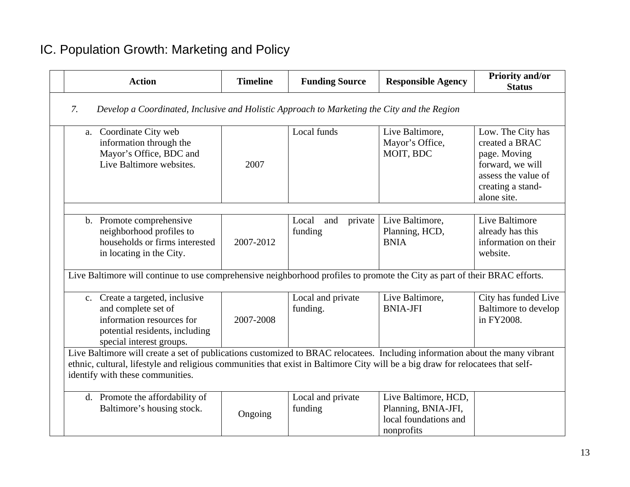# IC. Population Growth: Marketing and Policy

| <b>Action</b>                                                                                                                                                                                                                                                                                       | <b>Timeline</b> | <b>Funding Source</b>              | <b>Responsible Agency</b>                                                          | <b>Priority and/or</b><br><b>Status</b>                                                                                            |  |  |  |
|-----------------------------------------------------------------------------------------------------------------------------------------------------------------------------------------------------------------------------------------------------------------------------------------------------|-----------------|------------------------------------|------------------------------------------------------------------------------------|------------------------------------------------------------------------------------------------------------------------------------|--|--|--|
| 7.<br>Develop a Coordinated, Inclusive and Holistic Approach to Marketing the City and the Region                                                                                                                                                                                                   |                 |                                    |                                                                                    |                                                                                                                                    |  |  |  |
| a. Coordinate City web<br>information through the<br>Mayor's Office, BDC and<br>Live Baltimore websites.                                                                                                                                                                                            | 2007            | Local funds                        | Live Baltimore,<br>Mayor's Office,<br>MOIT, BDC                                    | Low. The City has<br>created a BRAC<br>page. Moving<br>forward, we will<br>assess the value of<br>creating a stand-<br>alone site. |  |  |  |
| b. Promote comprehensive<br>neighborhood profiles to<br>households or firms interested<br>in locating in the City.                                                                                                                                                                                  | 2007-2012       | Local<br>private<br>and<br>funding | Live Baltimore,<br>Planning, HCD,<br><b>BNIA</b>                                   | Live Baltimore<br>already has this<br>information on their<br>website.                                                             |  |  |  |
| Live Baltimore will continue to use comprehensive neighborhood profiles to promote the City as part of their BRAC efforts.                                                                                                                                                                          |                 |                                    |                                                                                    |                                                                                                                                    |  |  |  |
| c. Create a targeted, inclusive<br>and complete set of<br>information resources for<br>potential residents, including<br>special interest groups.                                                                                                                                                   | 2007-2008       | Local and private<br>funding.      | Live Baltimore,<br><b>BNIA-JFI</b>                                                 | City has funded Live<br><b>Baltimore to develop</b><br>in FY2008.                                                                  |  |  |  |
| Live Baltimore will create a set of publications customized to BRAC relocatees. Including information about the many vibrant<br>ethnic, cultural, lifestyle and religious communities that exist in Baltimore City will be a big draw for relocatees that self-<br>identify with these communities. |                 |                                    |                                                                                    |                                                                                                                                    |  |  |  |
| d. Promote the affordability of<br>Baltimore's housing stock.                                                                                                                                                                                                                                       | Ongoing         | Local and private<br>funding       | Live Baltimore, HCD,<br>Planning, BNIA-JFI,<br>local foundations and<br>nonprofits |                                                                                                                                    |  |  |  |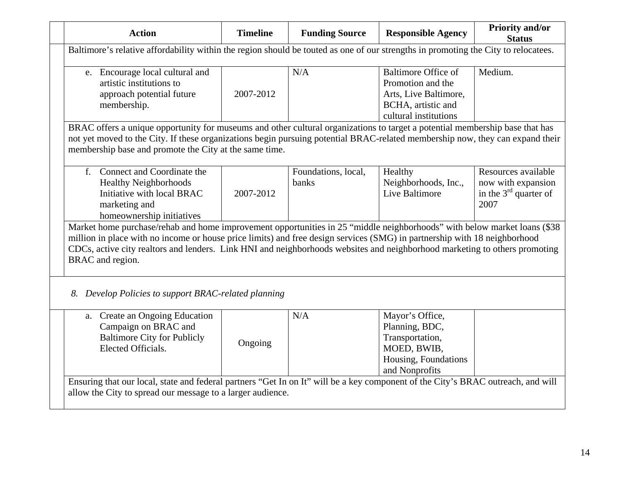| <b>Action</b>                                                                                                                                                                                                                                                                                                                                                                                           | <b>Timeline</b> | <b>Funding Source</b>        | <b>Responsible Agency</b>                                                                                               | <b>Priority and/or</b><br><b>Status</b>                                      |  |  |
|---------------------------------------------------------------------------------------------------------------------------------------------------------------------------------------------------------------------------------------------------------------------------------------------------------------------------------------------------------------------------------------------------------|-----------------|------------------------------|-------------------------------------------------------------------------------------------------------------------------|------------------------------------------------------------------------------|--|--|
| Baltimore's relative affordability within the region should be touted as one of our strengths in promoting the City to relocatees.                                                                                                                                                                                                                                                                      |                 |                              |                                                                                                                         |                                                                              |  |  |
| e. Encourage local cultural and<br>artistic institutions to<br>approach potential future<br>membership.                                                                                                                                                                                                                                                                                                 | 2007-2012       | N/A                          | <b>Baltimore Office of</b><br>Promotion and the<br>Arts, Live Baltimore,<br>BCHA, artistic and<br>cultural institutions | Medium.                                                                      |  |  |
| BRAC offers a unique opportunity for museums and other cultural organizations to target a potential membership base that has<br>not yet moved to the City. If these organizations begin pursuing potential BRAC-related membership now, they can expand their<br>membership base and promote the City at the same time.                                                                                 |                 |                              |                                                                                                                         |                                                                              |  |  |
| f. Connect and Coordinate the<br><b>Healthy Neighborhoods</b><br>Initiative with local BRAC<br>marketing and<br>homeownership initiatives                                                                                                                                                                                                                                                               | 2007-2012       | Foundations, local,<br>banks | Healthy<br>Neighborhoods, Inc.,<br>Live Baltimore                                                                       | Resources available<br>now with expansion<br>in the $3rd$ quarter of<br>2007 |  |  |
| Market home purchase/rehab and home improvement opportunities in 25 "middle neighborhoods" with below market loans (\$38<br>million in place with no income or house price limits) and free design services (SMG) in partnership with 18 neighborhood<br>CDCs, active city realtors and lenders. Link HNI and neighborhoods websites and neighborhood marketing to others promoting<br>BRAC and region. |                 |                              |                                                                                                                         |                                                                              |  |  |
| 8. Develop Policies to support BRAC-related planning                                                                                                                                                                                                                                                                                                                                                    |                 |                              |                                                                                                                         |                                                                              |  |  |
| a. Create an Ongoing Education<br>Campaign on BRAC and<br><b>Baltimore City for Publicly</b><br>Elected Officials.                                                                                                                                                                                                                                                                                      | Ongoing         | N/A                          | Mayor's Office,<br>Planning, BDC,<br>Transportation,<br>MOED, BWIB,<br>Housing, Foundations<br>and Nonprofits           |                                                                              |  |  |
| Ensuring that our local, state and federal partners "Get In on It" will be a key component of the City's BRAC outreach, and will<br>allow the City to spread our message to a larger audience.                                                                                                                                                                                                          |                 |                              |                                                                                                                         |                                                                              |  |  |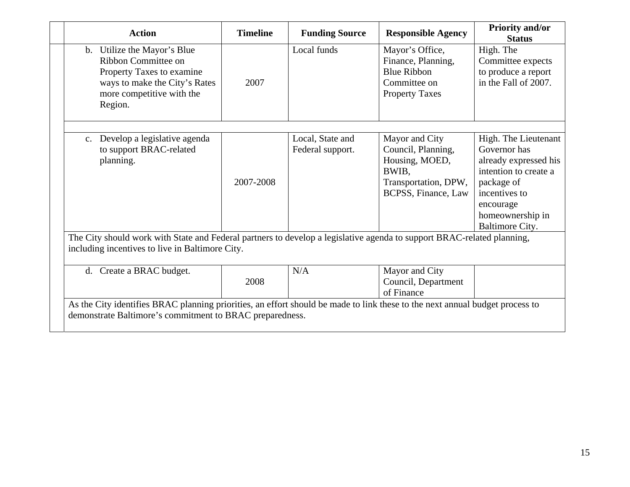| <b>Action</b>                                                                                                                                                                            | <b>Timeline</b> | <b>Funding Source</b>                | <b>Responsible Agency</b>                                                                                      | <b>Priority and/or</b><br><b>Status</b>                                                                                                                                   |  |  |
|------------------------------------------------------------------------------------------------------------------------------------------------------------------------------------------|-----------------|--------------------------------------|----------------------------------------------------------------------------------------------------------------|---------------------------------------------------------------------------------------------------------------------------------------------------------------------------|--|--|
| b. Utilize the Mayor's Blue<br>Ribbon Committee on<br>Property Taxes to examine<br>ways to make the City's Rates<br>more competitive with the<br>Region.                                 | 2007            | Local funds                          | Mayor's Office,<br>Finance, Planning,<br><b>Blue Ribbon</b><br>Committee on<br><b>Property Taxes</b>           | High. The<br>Committee expects<br>to produce a report<br>in the Fall of 2007.                                                                                             |  |  |
|                                                                                                                                                                                          |                 |                                      |                                                                                                                |                                                                                                                                                                           |  |  |
| c. Develop a legislative agenda<br>to support BRAC-related<br>planning.                                                                                                                  | 2007-2008       | Local, State and<br>Federal support. | Mayor and City<br>Council, Planning,<br>Housing, MOED,<br>BWIB.<br>Transportation, DPW,<br>BCPSS, Finance, Law | High. The Lieutenant<br>Governor has<br>already expressed his<br>intention to create a<br>package of<br>incentives to<br>encourage<br>homeownership in<br>Baltimore City. |  |  |
| The City should work with State and Federal partners to develop a legislative agenda to support BRAC-related planning,<br>including incentives to live in Baltimore City.                |                 |                                      |                                                                                                                |                                                                                                                                                                           |  |  |
| d. Create a BRAC budget.                                                                                                                                                                 | 2008            | N/A                                  | Mayor and City<br>Council, Department<br>of Finance                                                            |                                                                                                                                                                           |  |  |
| As the City identifies BRAC planning priorities, an effort should be made to link these to the next annual budget process to<br>demonstrate Baltimore's commitment to BRAC preparedness. |                 |                                      |                                                                                                                |                                                                                                                                                                           |  |  |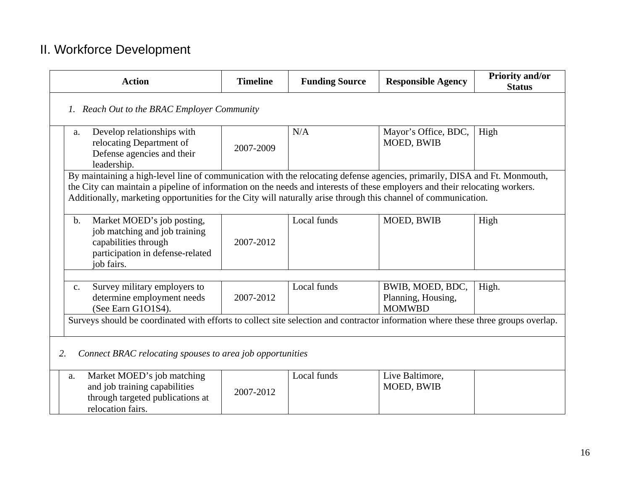# II. Workforce Development

| <b>Action</b>                                                                                                                                          | <b>Timeline</b>                                                                                                                                                                                                                                                                                                                                                            | <b>Funding Source</b> | <b>Responsible Agency</b>                               | <b>Priority and/or</b><br><b>Status</b> |  |  |  |
|--------------------------------------------------------------------------------------------------------------------------------------------------------|----------------------------------------------------------------------------------------------------------------------------------------------------------------------------------------------------------------------------------------------------------------------------------------------------------------------------------------------------------------------------|-----------------------|---------------------------------------------------------|-----------------------------------------|--|--|--|
|                                                                                                                                                        | 1. Reach Out to the BRAC Employer Community                                                                                                                                                                                                                                                                                                                                |                       |                                                         |                                         |  |  |  |
| Develop relationships with<br>a.<br>relocating Department of<br>Defense agencies and their<br>leadership.                                              | 2007-2009                                                                                                                                                                                                                                                                                                                                                                  | N/A                   | Mayor's Office, BDC,<br>MOED, BWIB                      | High                                    |  |  |  |
|                                                                                                                                                        | By maintaining a high-level line of communication with the relocating defense agencies, primarily, DISA and Ft. Monmouth,<br>the City can maintain a pipeline of information on the needs and interests of these employers and their relocating workers.<br>Additionally, marketing opportunities for the City will naturally arise through this channel of communication. |                       |                                                         |                                         |  |  |  |
| Market MOED's job posting,<br>$\mathbf b$ .<br>job matching and job training<br>capabilities through<br>participation in defense-related<br>job fairs. | 2007-2012                                                                                                                                                                                                                                                                                                                                                                  | Local funds           | MOED, BWIB                                              | High                                    |  |  |  |
| Survey military employers to<br>$C_{\bullet}$<br>determine employment needs<br>(See Earn G1O1S4).                                                      | 2007-2012                                                                                                                                                                                                                                                                                                                                                                  | Local funds           | BWIB, MOED, BDC,<br>Planning, Housing,<br><b>MOMWBD</b> | High.                                   |  |  |  |
| Surveys should be coordinated with efforts to collect site selection and contractor information where these three groups overlap.                      |                                                                                                                                                                                                                                                                                                                                                                            |                       |                                                         |                                         |  |  |  |
| Connect BRAC relocating spouses to area job opportunities<br>2.                                                                                        |                                                                                                                                                                                                                                                                                                                                                                            |                       |                                                         |                                         |  |  |  |
| Market MOED's job matching<br>a.<br>and job training capabilities<br>through targeted publications at<br>relocation fairs.                             | 2007-2012                                                                                                                                                                                                                                                                                                                                                                  | Local funds           | Live Baltimore,<br>MOED, BWIB                           |                                         |  |  |  |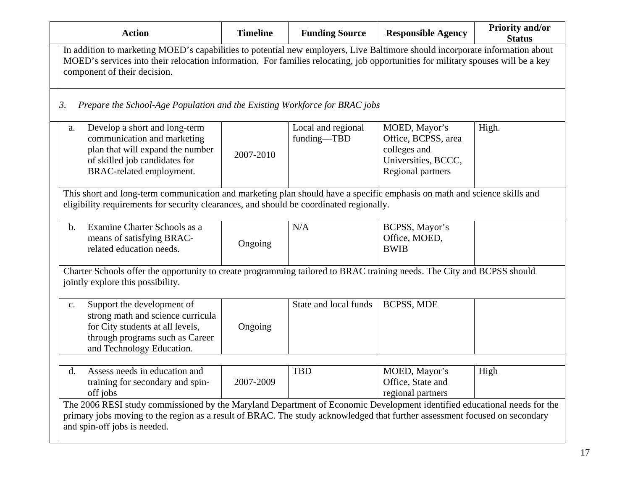| <b>Action</b>                                                                                                                                                                                                                                                                                    | <b>Timeline</b> | <b>Funding Source</b>             | <b>Responsible Agency</b>                                                                        | Priority and/or<br><b>Status</b> |
|--------------------------------------------------------------------------------------------------------------------------------------------------------------------------------------------------------------------------------------------------------------------------------------------------|-----------------|-----------------------------------|--------------------------------------------------------------------------------------------------|----------------------------------|
| In addition to marketing MOED's capabilities to potential new employers, Live Baltimore should incorporate information about<br>MOED's services into their relocation information. For families relocating, job opportunities for military spouses will be a key<br>component of their decision. |                 |                                   |                                                                                                  |                                  |
| Prepare the School-Age Population and the Existing Workforce for BRAC jobs<br>$\mathfrak{Z}$ .                                                                                                                                                                                                   |                 |                                   |                                                                                                  |                                  |
| Develop a short and long-term<br>a.<br>communication and marketing<br>plan that will expand the number<br>of skilled job candidates for<br>BRAC-related employment.                                                                                                                              | 2007-2010       | Local and regional<br>funding-TBD | MOED, Mayor's<br>Office, BCPSS, area<br>colleges and<br>Universities, BCCC,<br>Regional partners | High.                            |
| This short and long-term communication and marketing plan should have a specific emphasis on math and science skills and<br>eligibility requirements for security clearances, and should be coordinated regionally.                                                                              |                 |                                   |                                                                                                  |                                  |
| Examine Charter Schools as a<br>$\mathbf{b}$ .<br>means of satisfying BRAC-<br>related education needs.                                                                                                                                                                                          | Ongoing         | N/A                               | BCPSS, Mayor's<br>Office, MOED,<br><b>BWIB</b>                                                   |                                  |
| Charter Schools offer the opportunity to create programming tailored to BRAC training needs. The City and BCPSS should<br>jointly explore this possibility.                                                                                                                                      |                 |                                   |                                                                                                  |                                  |
| Support the development of<br>c.<br>strong math and science curricula<br>for City students at all levels,<br>through programs such as Career<br>and Technology Education.                                                                                                                        | Ongoing         | State and local funds             | <b>BCPSS, MDE</b>                                                                                |                                  |
| Assess needs in education and<br>d.<br>training for secondary and spin-<br>off jobs                                                                                                                                                                                                              | 2007-2009       | <b>TBD</b>                        | MOED, Mayor's<br>Office, State and<br>regional partners                                          | High                             |
| The 2006 RESI study commissioned by the Maryland Department of Economic Development identified educational needs for the<br>primary jobs moving to the region as a result of BRAC. The study acknowledged that further assessment focused on secondary<br>and spin-off jobs is needed.           |                 |                                   |                                                                                                  |                                  |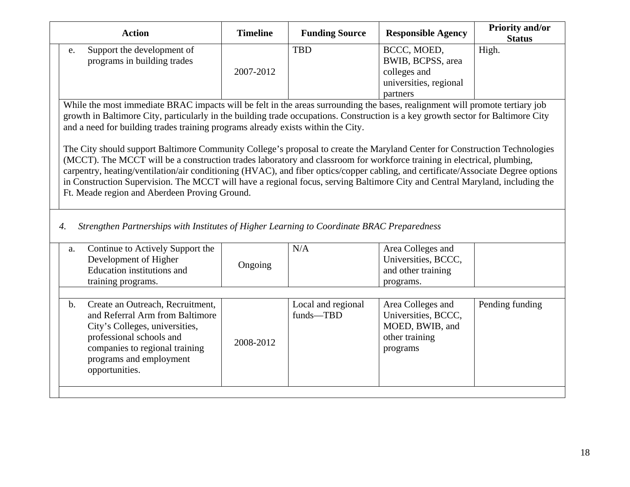| <b>Action</b>                                                                                                                                                                                                                                                                                                                                                                                                                                                                                                                                                                                                                                                                                                                                                                                                                                                                                                                       | <b>Timeline</b> | <b>Funding Source</b>           | <b>Responsible Agency</b>                                                                 | <b>Priority and/or</b><br><b>Status</b> |
|-------------------------------------------------------------------------------------------------------------------------------------------------------------------------------------------------------------------------------------------------------------------------------------------------------------------------------------------------------------------------------------------------------------------------------------------------------------------------------------------------------------------------------------------------------------------------------------------------------------------------------------------------------------------------------------------------------------------------------------------------------------------------------------------------------------------------------------------------------------------------------------------------------------------------------------|-----------------|---------------------------------|-------------------------------------------------------------------------------------------|-----------------------------------------|
| Support the development of<br>e.<br>programs in building trades                                                                                                                                                                                                                                                                                                                                                                                                                                                                                                                                                                                                                                                                                                                                                                                                                                                                     | 2007-2012       | <b>TBD</b>                      | BCCC, MOED,<br>BWIB, BCPSS, area<br>colleges and<br>universities, regional<br>partners    | High.                                   |
| While the most immediate BRAC impacts will be felt in the areas surrounding the bases, realignment will promote tertiary job<br>growth in Baltimore City, particularly in the building trade occupations. Construction is a key growth sector for Baltimore City<br>and a need for building trades training programs already exists within the City.<br>The City should support Baltimore Community College's proposal to create the Maryland Center for Construction Technologies<br>(MCCT). The MCCT will be a construction trades laboratory and classroom for workforce training in electrical, plumbing,<br>carpentry, heating/ventilation/air conditioning (HVAC), and fiber optics/copper cabling, and certificate/Associate Degree options<br>in Construction Supervision. The MCCT will have a regional focus, serving Baltimore City and Central Maryland, including the<br>Ft. Meade region and Aberdeen Proving Ground. |                 |                                 |                                                                                           |                                         |
| Strengthen Partnerships with Institutes of Higher Learning to Coordinate BRAC Preparedness<br>$\overline{4}$ .                                                                                                                                                                                                                                                                                                                                                                                                                                                                                                                                                                                                                                                                                                                                                                                                                      |                 |                                 |                                                                                           |                                         |
| Continue to Actively Support the<br>a.<br>Development of Higher<br>Education institutions and<br>training programs.                                                                                                                                                                                                                                                                                                                                                                                                                                                                                                                                                                                                                                                                                                                                                                                                                 | Ongoing         | N/A                             | Area Colleges and<br>Universities, BCCC,<br>and other training<br>programs.               |                                         |
| Create an Outreach, Recruitment,<br>$\mathbf{b}$ .<br>and Referral Arm from Baltimore<br>City's Colleges, universities,<br>professional schools and<br>companies to regional training<br>programs and employment<br>opportunities.                                                                                                                                                                                                                                                                                                                                                                                                                                                                                                                                                                                                                                                                                                  | 2008-2012       | Local and regional<br>funds-TBD | Area Colleges and<br>Universities, BCCC,<br>MOED, BWIB, and<br>other training<br>programs | Pending funding                         |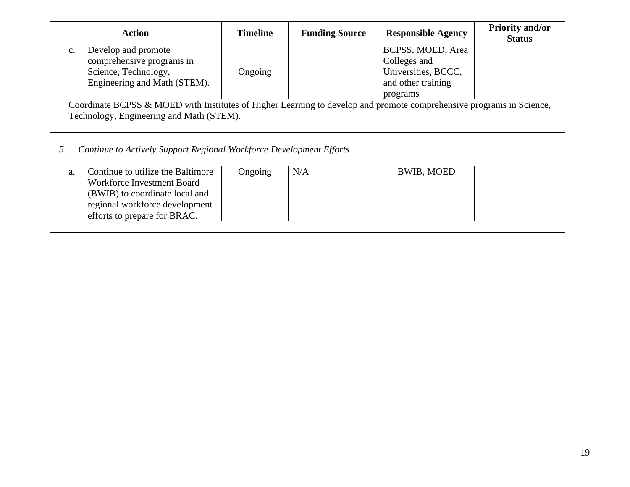| <b>Action</b>                                                                                                                                                    | <b>Timeline</b> | <b>Funding Source</b> | <b>Responsible Agency</b>         | <b>Priority and/or</b><br><b>Status</b> |  |
|------------------------------------------------------------------------------------------------------------------------------------------------------------------|-----------------|-----------------------|-----------------------------------|-----------------------------------------|--|
| Develop and promote<br>$\mathbf{c}$ .<br>comprehensive programs in                                                                                               |                 |                       | BCPSS, MOED, Area<br>Colleges and |                                         |  |
| Science, Technology,                                                                                                                                             | Ongoing         |                       | Universities, BCCC,               |                                         |  |
| Engineering and Math (STEM).                                                                                                                                     |                 |                       | and other training<br>programs    |                                         |  |
| Coordinate BCPSS & MOED with Institutes of Higher Learning to develop and promote comprehensive programs in Science,<br>Technology, Engineering and Math (STEM). |                 |                       |                                   |                                         |  |
| Continue to Actively Support Regional Workforce Development Efforts<br>5.                                                                                        |                 |                       |                                   |                                         |  |
| Continue to utilize the Baltimore<br>a.<br><b>Workforce Investment Board</b><br>(BWIB) to coordinate local and<br>regional workforce development                 | Ongoing         | N/A                   | <b>BWIB, MOED</b>                 |                                         |  |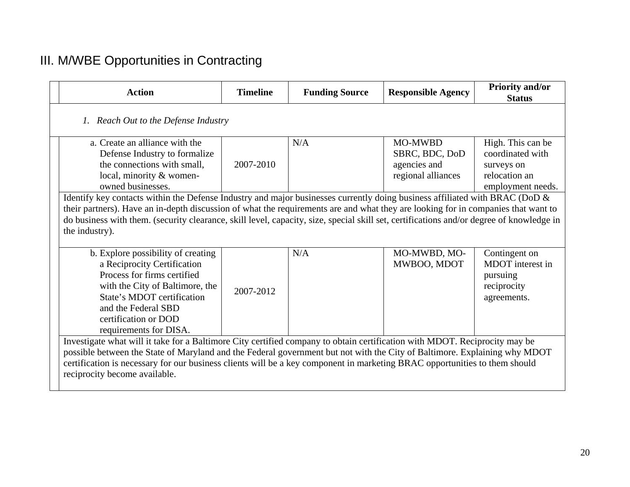# III. M/WBE Opportunities in Contracting

| <b>Action</b>                                                                                                                                                                                                                                                                                                                                                                                                                  | <b>Timeline</b> | <b>Funding Source</b> | <b>Responsible Agency</b>                                              | Priority and/or<br><b>Status</b>                                                          |  |
|--------------------------------------------------------------------------------------------------------------------------------------------------------------------------------------------------------------------------------------------------------------------------------------------------------------------------------------------------------------------------------------------------------------------------------|-----------------|-----------------------|------------------------------------------------------------------------|-------------------------------------------------------------------------------------------|--|
| 1. Reach Out to the Defense Industry                                                                                                                                                                                                                                                                                                                                                                                           |                 |                       |                                                                        |                                                                                           |  |
| a. Create an alliance with the<br>Defense Industry to formalize<br>the connections with small,<br>local, minority & women-<br>owned businesses.                                                                                                                                                                                                                                                                                | 2007-2010       | N/A                   | <b>MO-MWBD</b><br>SBRC, BDC, DoD<br>agencies and<br>regional alliances | High. This can be<br>coordinated with<br>surveys on<br>relocation an<br>employment needs. |  |
| Identify key contacts within the Defense Industry and major businesses currently doing business affiliated with BRAC (DoD &<br>their partners). Have an in-depth discussion of what the requirements are and what they are looking for in companies that want to<br>do business with them. (security clearance, skill level, capacity, size, special skill set, certifications and/or degree of knowledge in<br>the industry). |                 |                       |                                                                        |                                                                                           |  |
| b. Explore possibility of creating<br>a Reciprocity Certification<br>Process for firms certified<br>with the City of Baltimore, the<br>State's MDOT certification<br>and the Federal SBD<br>certification or DOD<br>requirements for DISA.                                                                                                                                                                                     | 2007-2012       | N/A                   | MO-MWBD, MO-<br>MWBOO, MDOT                                            | Contingent on<br>MDOT interest in<br>pursuing<br>reciprocity<br>agreements.               |  |
| Investigate what will it take for a Baltimore City certified company to obtain certification with MDOT. Reciprocity may be<br>possible between the State of Maryland and the Federal government but not with the City of Baltimore. Explaining why MDOT<br>certification is necessary for our business clients will be a key component in marketing BRAC opportunities to them should<br>reciprocity become available.         |                 |                       |                                                                        |                                                                                           |  |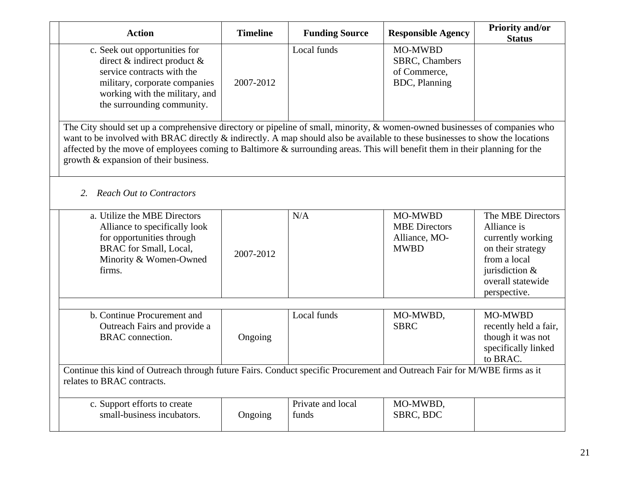| <b>Action</b>                                                                                                                                                                                     | <b>Timeline</b>                                                                                                                                                                                                                                                                                                                                                                               | <b>Funding Source</b>      | <b>Responsible Agency</b>                                       | <b>Priority and/or</b><br><b>Status</b>                                                                                                           |  |  |
|---------------------------------------------------------------------------------------------------------------------------------------------------------------------------------------------------|-----------------------------------------------------------------------------------------------------------------------------------------------------------------------------------------------------------------------------------------------------------------------------------------------------------------------------------------------------------------------------------------------|----------------------------|-----------------------------------------------------------------|---------------------------------------------------------------------------------------------------------------------------------------------------|--|--|
| c. Seek out opportunities for<br>direct $\&$ indirect product $\&$<br>service contracts with the<br>military, corporate companies<br>working with the military, and<br>the surrounding community. | 2007-2012                                                                                                                                                                                                                                                                                                                                                                                     | Local funds                | MO-MWBD<br>SBRC, Chambers<br>of Commerce,<br>BDC, Planning      |                                                                                                                                                   |  |  |
| growth & expansion of their business.                                                                                                                                                             | The City should set up a comprehensive directory or pipeline of small, minority, & women-owned businesses of companies who<br>want to be involved with BRAC directly & indirectly. A map should also be available to these businesses to show the locations<br>affected by the move of employees coming to Baltimore $\&$ surrounding areas. This will benefit them in their planning for the |                            |                                                                 |                                                                                                                                                   |  |  |
| 2. Reach Out to Contractors                                                                                                                                                                       |                                                                                                                                                                                                                                                                                                                                                                                               |                            |                                                                 |                                                                                                                                                   |  |  |
| a. Utilize the MBE Directors<br>Alliance to specifically look<br>for opportunities through<br><b>BRAC</b> for Small, Local,<br>Minority & Women-Owned<br>firms.                                   | 2007-2012                                                                                                                                                                                                                                                                                                                                                                                     | N/A                        | MO-MWBD<br><b>MBE</b> Directors<br>Alliance, MO-<br><b>MWBD</b> | The MBE Directors<br>Alliance is<br>currently working<br>on their strategy<br>from a local<br>jurisdiction &<br>overall statewide<br>perspective. |  |  |
| b. Continue Procurement and<br>Outreach Fairs and provide a<br><b>BRAC</b> connection.                                                                                                            | Ongoing                                                                                                                                                                                                                                                                                                                                                                                       | Local funds                | MO-MWBD,<br><b>SBRC</b>                                         | MO-MWBD<br>recently held a fair,<br>though it was not<br>specifically linked<br>to BRAC.                                                          |  |  |
| relates to BRAC contracts.                                                                                                                                                                        | Continue this kind of Outreach through future Fairs. Conduct specific Procurement and Outreach Fair for M/WBE firms as it                                                                                                                                                                                                                                                                     |                            |                                                                 |                                                                                                                                                   |  |  |
| c. Support efforts to create<br>small-business incubators.                                                                                                                                        | Ongoing                                                                                                                                                                                                                                                                                                                                                                                       | Private and local<br>funds | MO-MWBD,<br>SBRC, BDC                                           |                                                                                                                                                   |  |  |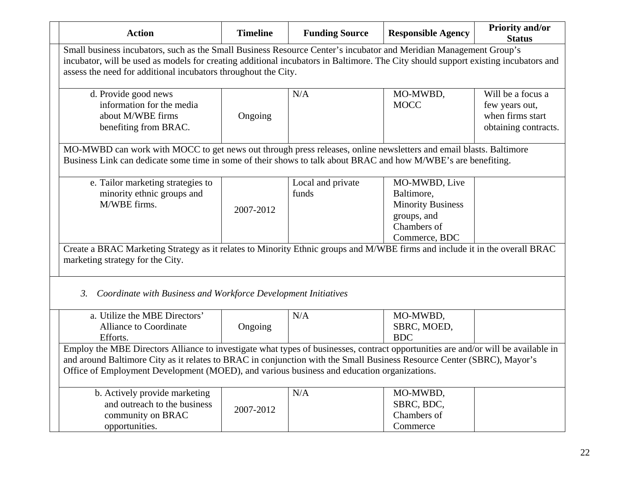| <b>Action</b>                                                                                                                                                                                                                                                                                                                                             | <b>Timeline</b>                                                                                                                                                                                                                                                                                                           | <b>Funding Source</b>      | <b>Responsible Agency</b>                                                                              | <b>Priority and/or</b><br><b>Status</b>                                         |  |  |  |
|-----------------------------------------------------------------------------------------------------------------------------------------------------------------------------------------------------------------------------------------------------------------------------------------------------------------------------------------------------------|---------------------------------------------------------------------------------------------------------------------------------------------------------------------------------------------------------------------------------------------------------------------------------------------------------------------------|----------------------------|--------------------------------------------------------------------------------------------------------|---------------------------------------------------------------------------------|--|--|--|
|                                                                                                                                                                                                                                                                                                                                                           | Small business incubators, such as the Small Business Resource Center's incubator and Meridian Management Group's<br>incubator, will be used as models for creating additional incubators in Baltimore. The City should support existing incubators and<br>assess the need for additional incubators throughout the City. |                            |                                                                                                        |                                                                                 |  |  |  |
| d. Provide good news<br>information for the media<br>about M/WBE firms<br>benefiting from BRAC.                                                                                                                                                                                                                                                           | Ongoing                                                                                                                                                                                                                                                                                                                   | N/A                        | MO-MWBD,<br><b>MOCC</b>                                                                                | Will be a focus a<br>few years out,<br>when firms start<br>obtaining contracts. |  |  |  |
|                                                                                                                                                                                                                                                                                                                                                           | MO-MWBD can work with MOCC to get news out through press releases, online newsletters and email blasts. Baltimore<br>Business Link can dedicate some time in some of their shows to talk about BRAC and how M/WBE's are benefiting.                                                                                       |                            |                                                                                                        |                                                                                 |  |  |  |
| e. Tailor marketing strategies to<br>minority ethnic groups and<br>M/WBE firms.                                                                                                                                                                                                                                                                           | 2007-2012                                                                                                                                                                                                                                                                                                                 | Local and private<br>funds | MO-MWBD, Live<br>Baltimore,<br><b>Minority Business</b><br>groups, and<br>Chambers of<br>Commerce, BDC |                                                                                 |  |  |  |
| Create a BRAC Marketing Strategy as it relates to Minority Ethnic groups and M/WBE firms and include it in the overall BRAC<br>marketing strategy for the City.                                                                                                                                                                                           |                                                                                                                                                                                                                                                                                                                           |                            |                                                                                                        |                                                                                 |  |  |  |
| 3.<br>Coordinate with Business and Workforce Development Initiatives                                                                                                                                                                                                                                                                                      |                                                                                                                                                                                                                                                                                                                           |                            |                                                                                                        |                                                                                 |  |  |  |
| a. Utilize the MBE Directors'<br><b>Alliance to Coordinate</b><br>Efforts.                                                                                                                                                                                                                                                                                | Ongoing                                                                                                                                                                                                                                                                                                                   | N/A                        | MO-MWBD,<br>SBRC, MOED,<br><b>BDC</b>                                                                  |                                                                                 |  |  |  |
| Employ the MBE Directors Alliance to investigate what types of businesses, contract opportunities are and/or will be available in<br>and around Baltimore City as it relates to BRAC in conjunction with the Small Business Resource Center (SBRC), Mayor's<br>Office of Employment Development (MOED), and various business and education organizations. |                                                                                                                                                                                                                                                                                                                           |                            |                                                                                                        |                                                                                 |  |  |  |
| b. Actively provide marketing<br>and outreach to the business<br>community on BRAC<br>opportunities.                                                                                                                                                                                                                                                      | 2007-2012                                                                                                                                                                                                                                                                                                                 | N/A                        | MO-MWBD,<br>SBRC, BDC,<br>Chambers of<br>Commerce                                                      |                                                                                 |  |  |  |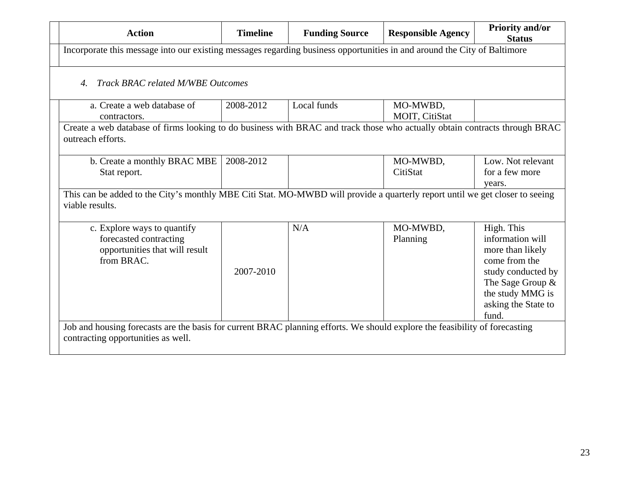| <b>Action</b>                                                                                                                                   | <b>Timeline</b> | <b>Funding Source</b> | <b>Responsible Agency</b> | <b>Priority and/or</b><br><b>Status</b> |  |  |  |
|-------------------------------------------------------------------------------------------------------------------------------------------------|-----------------|-----------------------|---------------------------|-----------------------------------------|--|--|--|
| Incorporate this message into our existing messages regarding business opportunities in and around the City of Baltimore                        |                 |                       |                           |                                         |  |  |  |
| Track BRAC related M/WBE Outcomes                                                                                                               |                 |                       |                           |                                         |  |  |  |
| a. Create a web database of                                                                                                                     | 2008-2012       | Local funds           | MO-MWBD,                  |                                         |  |  |  |
| contractors.                                                                                                                                    |                 |                       | MOIT, CitiStat            |                                         |  |  |  |
| Create a web database of firms looking to do business with BRAC and track those who actually obtain contracts through BRAC<br>outreach efforts. |                 |                       |                           |                                         |  |  |  |
| b. Create a monthly BRAC MBE                                                                                                                    | 2008-2012       |                       | MO-MWBD,                  | Low. Not relevant                       |  |  |  |
| Stat report.                                                                                                                                    |                 |                       | CitiStat                  | for a few more                          |  |  |  |
|                                                                                                                                                 |                 |                       |                           | years.                                  |  |  |  |
| This can be added to the City's monthly MBE Citi Stat. MO-MWBD will provide a quarterly report until we get closer to seeing<br>viable results. |                 |                       |                           |                                         |  |  |  |
| c. Explore ways to quantify                                                                                                                     |                 | N/A                   | MO-MWBD,                  | High. This                              |  |  |  |
| forecasted contracting                                                                                                                          |                 |                       | Planning                  | information will                        |  |  |  |
| opportunities that will result                                                                                                                  |                 |                       |                           | more than likely                        |  |  |  |
| from BRAC.                                                                                                                                      |                 |                       |                           | come from the                           |  |  |  |
|                                                                                                                                                 | 2007-2010       |                       |                           | study conducted by                      |  |  |  |
|                                                                                                                                                 |                 |                       |                           | The Sage Group &                        |  |  |  |
|                                                                                                                                                 |                 |                       |                           | the study MMG is                        |  |  |  |
|                                                                                                                                                 |                 |                       |                           | asking the State to                     |  |  |  |
|                                                                                                                                                 |                 |                       |                           | fund.                                   |  |  |  |
| Job and housing forecasts are the basis for current BRAC planning efforts. We should explore the feasibility of forecasting                     |                 |                       |                           |                                         |  |  |  |
| contracting opportunities as well.                                                                                                              |                 |                       |                           |                                         |  |  |  |
|                                                                                                                                                 |                 |                       |                           |                                         |  |  |  |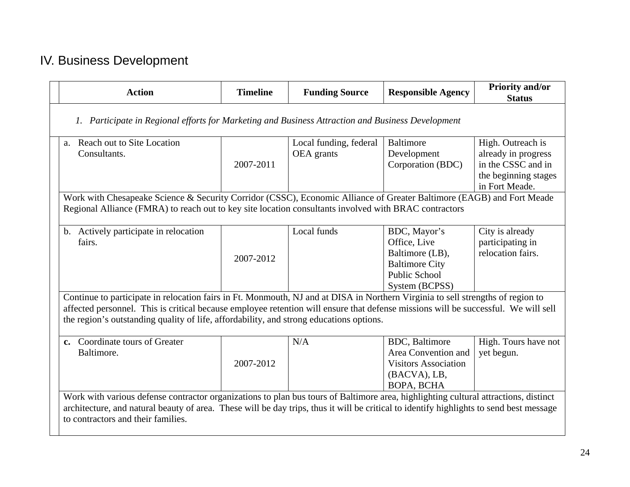## IV. Business Development

| <b>Action</b>                                                                                                                                                                                                                                                                                                        | <b>Timeline</b>                                                                                                                                                                                                                                                                                                                                                  | <b>Funding Source</b>                | <b>Responsible Agency</b>                                                                                          | Priority and/or<br><b>Status</b>                                                                         |  |  |
|----------------------------------------------------------------------------------------------------------------------------------------------------------------------------------------------------------------------------------------------------------------------------------------------------------------------|------------------------------------------------------------------------------------------------------------------------------------------------------------------------------------------------------------------------------------------------------------------------------------------------------------------------------------------------------------------|--------------------------------------|--------------------------------------------------------------------------------------------------------------------|----------------------------------------------------------------------------------------------------------|--|--|
| 1. Participate in Regional efforts for Marketing and Business Attraction and Business Development                                                                                                                                                                                                                    |                                                                                                                                                                                                                                                                                                                                                                  |                                      |                                                                                                                    |                                                                                                          |  |  |
| a. Reach out to Site Location<br>Consultants.                                                                                                                                                                                                                                                                        | 2007-2011                                                                                                                                                                                                                                                                                                                                                        | Local funding, federal<br>OEA grants | <b>Baltimore</b><br>Development<br>Corporation (BDC)                                                               | High. Outreach is<br>already in progress<br>in the CSSC and in<br>the beginning stages<br>in Fort Meade. |  |  |
| Work with Chesapeake Science & Security Corridor (CSSC), Economic Alliance of Greater Baltimore (EAGB) and Fort Meade<br>Regional Alliance (FMRA) to reach out to key site location consultants involved with BRAC contractors                                                                                       |                                                                                                                                                                                                                                                                                                                                                                  |                                      |                                                                                                                    |                                                                                                          |  |  |
| b. Actively participate in relocation<br>fairs.                                                                                                                                                                                                                                                                      | 2007-2012                                                                                                                                                                                                                                                                                                                                                        | Local funds                          | BDC, Mayor's<br>Office, Live<br>Baltimore (LB),<br><b>Baltimore City</b><br><b>Public School</b><br>System (BCPSS) | City is already<br>participating in<br>relocation fairs.                                                 |  |  |
|                                                                                                                                                                                                                                                                                                                      | Continue to participate in relocation fairs in Ft. Monmouth, NJ and at DISA in Northern Virginia to sell strengths of region to<br>affected personnel. This is critical because employee retention will ensure that defense missions will be successful. We will sell<br>the region's outstanding quality of life, affordability, and strong educations options. |                                      |                                                                                                                    |                                                                                                          |  |  |
| c. Coordinate tours of Greater<br>Baltimore.                                                                                                                                                                                                                                                                         | 2007-2012                                                                                                                                                                                                                                                                                                                                                        | N/A                                  | <b>BDC</b> , Baltimore<br>Area Convention and<br><b>Visitors Association</b><br>(BACVA), LB,<br><b>BOPA, BCHA</b>  | High. Tours have not<br>yet begun.                                                                       |  |  |
| Work with various defense contractor organizations to plan bus tours of Baltimore area, highlighting cultural attractions, distinct<br>architecture, and natural beauty of area. These will be day trips, thus it will be critical to identify highlights to send best message<br>to contractors and their families. |                                                                                                                                                                                                                                                                                                                                                                  |                                      |                                                                                                                    |                                                                                                          |  |  |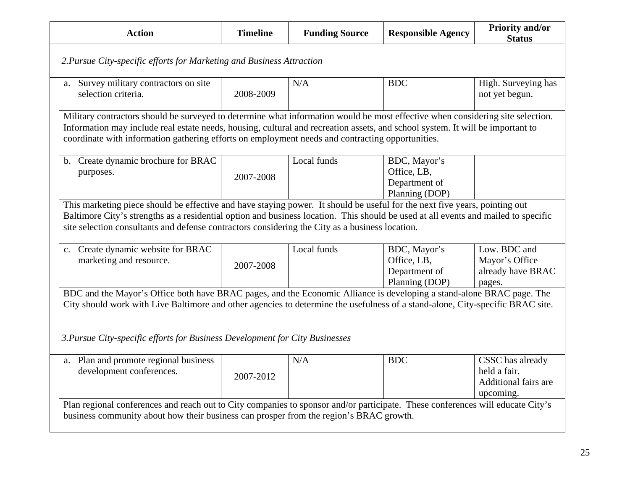| <b>Action</b>                                                                                                                                                                                                                                                                                                                                                       | <b>Timeline</b>                                                                                                                                                                                                                                                                                                                                                      | <b>Funding Source</b> | <b>Responsible Agency</b>                                      | <b>Priority and/or</b><br><b>Status</b>                                      |  |  |
|---------------------------------------------------------------------------------------------------------------------------------------------------------------------------------------------------------------------------------------------------------------------------------------------------------------------------------------------------------------------|----------------------------------------------------------------------------------------------------------------------------------------------------------------------------------------------------------------------------------------------------------------------------------------------------------------------------------------------------------------------|-----------------------|----------------------------------------------------------------|------------------------------------------------------------------------------|--|--|
| 2. Pursue City-specific efforts for Marketing and Business Attraction                                                                                                                                                                                                                                                                                               |                                                                                                                                                                                                                                                                                                                                                                      |                       |                                                                |                                                                              |  |  |
| a. Survey military contractors on site<br>selection criteria.                                                                                                                                                                                                                                                                                                       | 2008-2009                                                                                                                                                                                                                                                                                                                                                            | N/A                   | <b>BDC</b>                                                     | High. Surveying has<br>not yet begun.                                        |  |  |
|                                                                                                                                                                                                                                                                                                                                                                     | Military contractors should be surveyed to determine what information would be most effective when considering site selection.<br>Information may include real estate needs, housing, cultural and recreation assets, and school system. It will be important to<br>coordinate with information gathering efforts on employment needs and contracting opportunities. |                       |                                                                |                                                                              |  |  |
| b. Create dynamic brochure for BRAC<br>purposes.                                                                                                                                                                                                                                                                                                                    | 2007-2008                                                                                                                                                                                                                                                                                                                                                            | Local funds           | BDC, Mayor's<br>Office, LB,<br>Department of<br>Planning (DOP) |                                                                              |  |  |
| This marketing piece should be effective and have staying power. It should be useful for the next five years, pointing out<br>Baltimore City's strengths as a residential option and business location. This should be used at all events and mailed to specific<br>site selection consultants and defense contractors considering the City as a business location. |                                                                                                                                                                                                                                                                                                                                                                      |                       |                                                                |                                                                              |  |  |
| c. Create dynamic website for BRAC<br>marketing and resource.                                                                                                                                                                                                                                                                                                       | 2007-2008                                                                                                                                                                                                                                                                                                                                                            | Local funds           | BDC, Mayor's<br>Office, LB,<br>Department of<br>Planning (DOP) | Low. BDC and<br>Mayor's Office<br>already have BRAC<br>pages.                |  |  |
| BDC and the Mayor's Office both have BRAC pages, and the Economic Alliance is developing a stand-alone BRAC page. The<br>City should work with Live Baltimore and other agencies to determine the usefulness of a stand-alone, City-specific BRAC site.                                                                                                             |                                                                                                                                                                                                                                                                                                                                                                      |                       |                                                                |                                                                              |  |  |
| 3. Pursue City-specific efforts for Business Development for City Businesses                                                                                                                                                                                                                                                                                        |                                                                                                                                                                                                                                                                                                                                                                      |                       |                                                                |                                                                              |  |  |
| a. Plan and promote regional business<br>development conferences.                                                                                                                                                                                                                                                                                                   | 2007-2012                                                                                                                                                                                                                                                                                                                                                            | N/A                   | <b>BDC</b>                                                     | CSSC has already<br>held a fair.<br><b>Additional fairs are</b><br>upcoming. |  |  |
| Plan regional conferences and reach out to City companies to sponsor and/or participate. These conferences will educate City's<br>business community about how their business can prosper from the region's BRAC growth.                                                                                                                                            |                                                                                                                                                                                                                                                                                                                                                                      |                       |                                                                |                                                                              |  |  |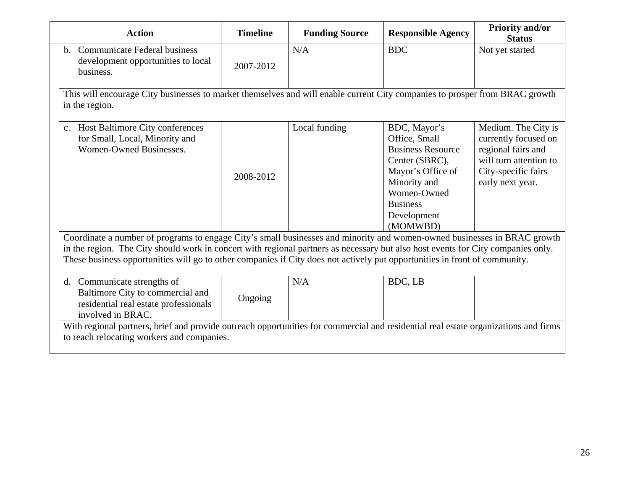| <b>Action</b>                                                                                                                                                                                                                                                                                                                                                                                                                                                                                 | <b>Timeline</b> | <b>Funding Source</b> | <b>Responsible Agency</b>                                                                                                                                                     | <b>Priority and/or</b><br><b>Status</b>                                                                                                |
|-----------------------------------------------------------------------------------------------------------------------------------------------------------------------------------------------------------------------------------------------------------------------------------------------------------------------------------------------------------------------------------------------------------------------------------------------------------------------------------------------|-----------------|-----------------------|-------------------------------------------------------------------------------------------------------------------------------------------------------------------------------|----------------------------------------------------------------------------------------------------------------------------------------|
| b. Communicate Federal business<br>development opportunities to local<br>business.                                                                                                                                                                                                                                                                                                                                                                                                            | 2007-2012       | N/A                   | <b>BDC</b>                                                                                                                                                                    | Not yet started                                                                                                                        |
| This will encourage City businesses to market themselves and will enable current City companies to prosper from BRAC growth<br>in the region.                                                                                                                                                                                                                                                                                                                                                 |                 |                       |                                                                                                                                                                               |                                                                                                                                        |
| c. Host Baltimore City conferences<br>for Small, Local, Minority and<br>Women-Owned Businesses.<br>Coordinate a number of programs to engage City's small businesses and minority and women-owned businesses in BRAC growth<br>in the region. The City should work in concert with regional partners as necessary but also host events for City companies only.<br>These business opportunities will go to other companies if City does not actively put opportunities in front of community. | 2008-2012       | Local funding         | BDC, Mayor's<br>Office, Small<br><b>Business Resource</b><br>Center (SBRC),<br>Mayor's Office of<br>Minority and<br>Women-Owned<br><b>Business</b><br>Development<br>(MOMWBD) | Medium. The City is<br>currently focused on<br>regional fairs and<br>will turn attention to<br>City-specific fairs<br>early next year. |
| d. Communicate strengths of<br>Baltimore City to commercial and<br>residential real estate professionals<br>involved in BRAC.                                                                                                                                                                                                                                                                                                                                                                 | Ongoing         | N/A                   | BDC, LB                                                                                                                                                                       |                                                                                                                                        |
| With regional partners, brief and provide outreach opportunities for commercial and residential real estate organizations and firms<br>to reach relocating workers and companies.                                                                                                                                                                                                                                                                                                             |                 |                       |                                                                                                                                                                               |                                                                                                                                        |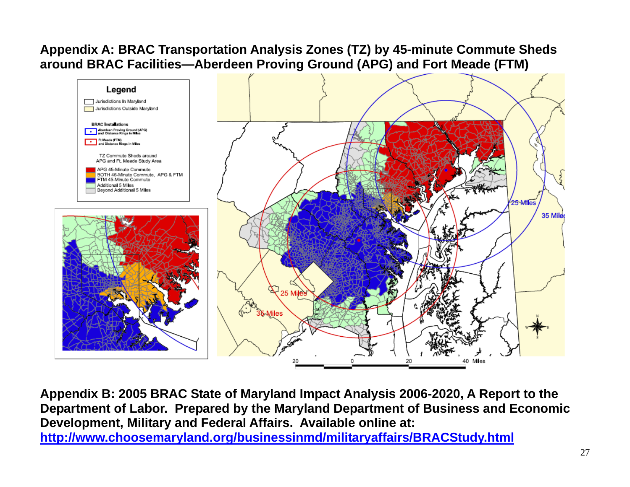#### **Appendix A: BRAC Transportation Analysis Zones (TZ) by 45-minute Commute Sheds around BRAC Facilities—Aberdeen Proving Ground (APG) and Fort Meade (FTM)**



**Appendix B: 2005 BRAC State of Maryland Impact Analysis 2006-2020, A Report to the Department of Labor. Prepared by the Maryland Department of Business and Economic Development, Military and Federal Affairs. Available online at: <http://www.choosemaryland.org/businessinmd/militaryaffairs/BRACStudy.html>**